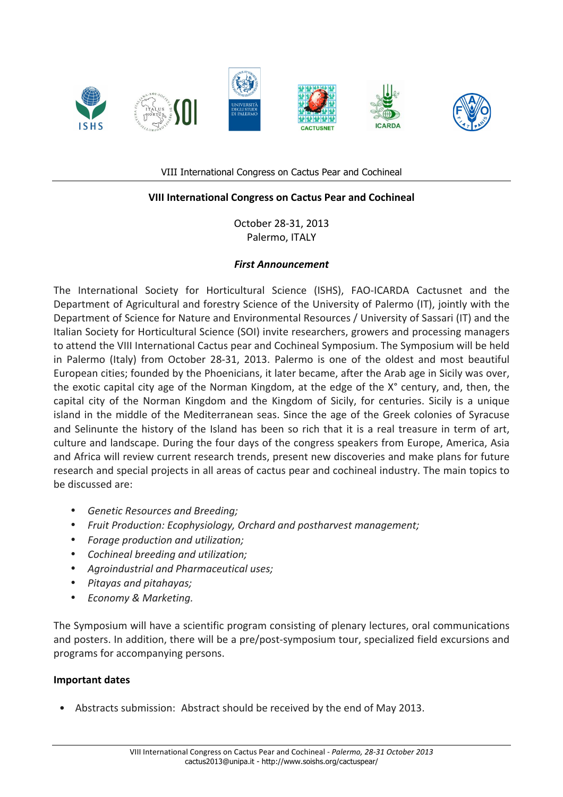







VIII International Congress on Cactus Pear and Cochineal

# **VIII International Congress on Cactus Pear and Cochineal**

October 28-31, 2013 Palermo, ITALY

## *First Announcement*

The International Society for Horticultural Science (ISHS), FAO-ICARDA Cactusnet and the Department of Agricultural and forestry Science of the University of Palermo (IT), jointly with the Department of Science for Nature and Environmental Resources / University of Sassari (IT) and the Italian Society for Horticultural Science (SOI) invite researchers, growers and processing managers to attend the VIII International Cactus pear and Cochineal Symposium. The Symposium will be held in Palermo (Italy) from October 28-31, 2013. Palermo is one of the oldest and most beautiful European cities; founded by the Phoenicians, it later became, after the Arab age in Sicily was over, the exotic capital city age of the Norman Kingdom, at the edge of the X° century, and, then, the capital city of the Norman Kingdom and the Kingdom of Sicily, for centuries. Sicily is a unique island in the middle of the Mediterranean seas. Since the age of the Greek colonies of Syracuse and Selinunte the history of the Island has been so rich that it is a real treasure in term of art, culture and landscape. During the four days of the congress speakers from Europe, America, Asia and Africa will review current research trends, present new discoveries and make plans for future research and special projects in all areas of cactus pear and cochineal industry. The main topics to be discussed are:

- *Genetic Resources and Breeding;*
- Fruit Production: Ecophysiology, Orchard and postharvest management;
- *Forage production and utilization;*
- *Cochineal breeding and utilization;*
- *Agroindustrial and Pharmaceutical uses;*
- *Pitayas and pitahayas;*
- *Economy & Marketing.*

The Symposium will have a scientific program consisting of plenary lectures, oral communications and posters. In addition, there will be a pre/post-symposium tour, specialized field excursions and programs for accompanying persons.

## **Important dates**

• Abstracts submission: Abstract should be received by the end of May 2013.